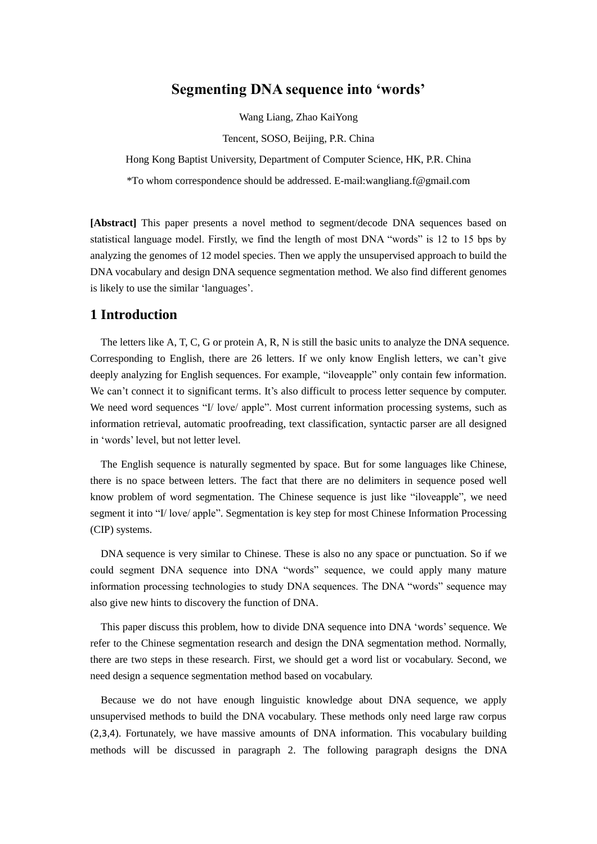# **Segmenting DNA sequence into 'words'**

Wang Liang, Zhao KaiYong

Tencent, SOSO, Beijing, P.R. China

Hong Kong Baptist University, Department of Computer Science, HK, P.R. China

\*To whom correspondence should be addressed. E-mail:wangliang.f@gmail.com

**[Abstract]** This paper presents a novel method to segment/decode DNA sequences based on statistical language model. Firstly, we find the length of most DNA "words" is 12 to 15 bps by analyzing the genomes of 12 model species. Then we apply the unsupervised approach to build the DNA vocabulary and design DNA sequence segmentation method. We also find different genomes is likely to use the similar 'languages'.

# **1 Introduction**

The letters like A, T, C, G or protein A, R, N is still the basic units to analyze the DNA sequence. Corresponding to English, there are 26 letters. If we only know English letters, we can't give deeply analyzing for English sequences. For example, "iloveapple" only contain few information. We can't connect it to significant terms. It's also difficult to process letter sequence by computer. We need word sequences "I/ love/ apple". Most current information processing systems, such as information retrieval, automatic proofreading, text classification, syntactic parser are all designed in 'words' level, but not letter level.

The English sequence is naturally segmented by space. But for some languages like Chinese, there is no space between letters. The fact that there are no delimiters in sequence posed well know problem of word segmentation. The Chinese sequence is just like "iloveapple", we need segment it into "I/ love/ apple". Segmentation is key step for most Chinese Information Processing (CIP) systems.

DNA sequence is very similar to Chinese. These is also no any space or punctuation. So if we could segment DNA sequence into DNA "words" sequence, we could apply many mature information processing technologies to study DNA sequences. The DNA "words" sequence may also give new hints to discovery the function of DNA.

This paper discuss this problem, how to divide DNA sequence into DNA 'words' sequence. We refer to the Chinese segmentation research and design the DNA segmentation method. Normally, there are two steps in these research. First, we should get a word list or vocabulary. Second, we need design a sequence segmentation method based on vocabulary.

Because we do not have enough linguistic knowledge about DNA sequence, we apply unsupervised methods to build the DNA vocabulary. These methods only need large raw corpus ([2](#page-10-0),[3](#page-11-0),[4](#page-11-1)). Fortunately, we have massive amounts of DNA information. This vocabulary building methods will be discussed in paragraph 2. The following paragraph designs the DNA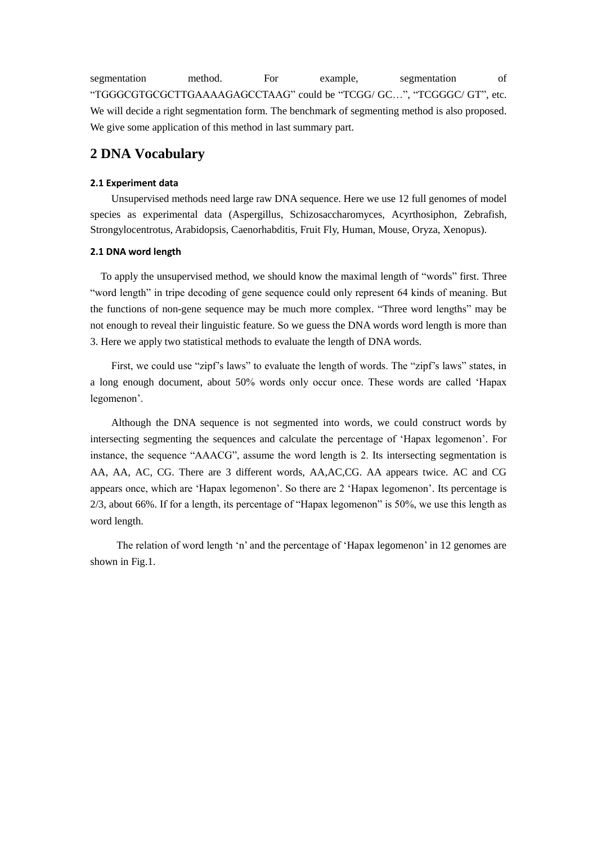segmentation method. For example, segmentation of "TGGGCGTGCGCTTGAAAAGAGCCTAAG" could be "TCGG/ GC…", "TCGGGC/ GT", etc. We will decide a right segmentation form. The benchmark of segmenting method is also proposed. We give some application of this method in last summary part.

# **2 DNA Vocabulary**

#### **2.1 Experiment data**

Unsupervised methods need large raw DNA sequence. Here we use 12 full genomes of model species as experimental data (Aspergillus, Schizosaccharomyces, Acyrthosiphon, Zebrafish, Strongylocentrotus, Arabidopsis, Caenorhabditis, Fruit Fly, Human, Mouse, Oryza, Xenopus).

#### **2.1 DNA word length**

To apply the unsupervised method, we should know the maximal length of "words" first. Three "word length" in tripe decoding of gene sequence could only represent 64 kinds of meaning. But the functions of non-gene sequence may be much more complex. "Three word lengths" may be not enough to reveal their linguistic feature. So we guess the DNA words word length is more than 3. Here we apply two statistical methods to evaluate the length of DNA words.

First, we could use "zipf's laws" to evaluate the length of words. The "zipf's laws" states, in a long enough document, about 50% words only occur once. These words are called 'Hapax legomenon'.

Although the DNA sequence is not segmented into words, we could construct words by intersecting segmenting the sequences and calculate the percentage of 'Hapax legomenon'. For instance, the sequence "AAACG", assume the word length is 2. Its intersecting segmentation is AA, AA, AC, CG. There are 3 different words, AA,AC,CG. AA appears twice. AC and CG appears once, which are 'Hapax legomenon'. So there are 2 'Hapax legomenon'. Its percentage is 2/3, about 66%. If for a length, its percentage of "Hapax legomenon" is 50%, we use this length as word length.

The relation of word length 'n' and the percentage of 'Hapax legomenon' in 12 genomes are shown in Fig.1.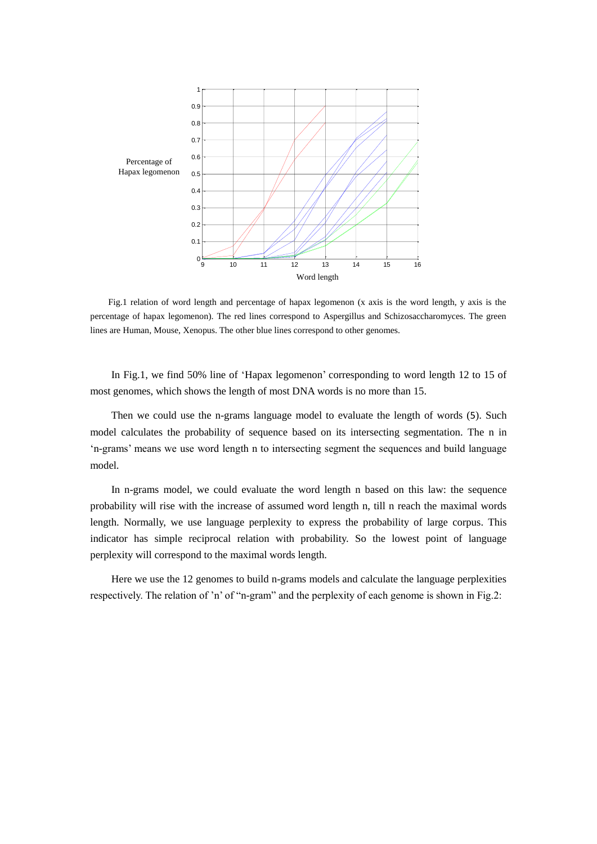

Fig.1 relation of word length and percentage of hapax legomenon (x axis is the word length, y axis is the percentage of hapax legomenon). The red lines correspond to Aspergillus and Schizosaccharomyces. The green lines are Human, Mouse, Xenopus. The other blue lines correspond to other genomes.

In Fig.1, we find 50% line of 'Hapax legomenon' corresponding to word length 12 to 15 of most genomes, which shows the length of most DNA words is no more than 15.

Then we could use the n-grams language model to evaluate the length of words ([5](#page-11-2)). Such model calculates the probability of sequence based on its intersecting segmentation. The n in 'n-grams' means we use word length n to intersecting segment the sequences and build language model.

In n-grams model, we could evaluate the word length n based on this law: the sequence probability will rise with the increase of assumed word length n, till n reach the maximal words length. Normally, we use language perplexity to express the probability of large corpus. This indicator has simple reciprocal relation with probability. So the lowest point of language perplexity will correspond to the maximal words length.

Here we use the 12 genomes to build n-grams models and calculate the language perplexities respectively. The relation of 'n' of "n-gram" and the perplexity of each genome is shown in Fig.2: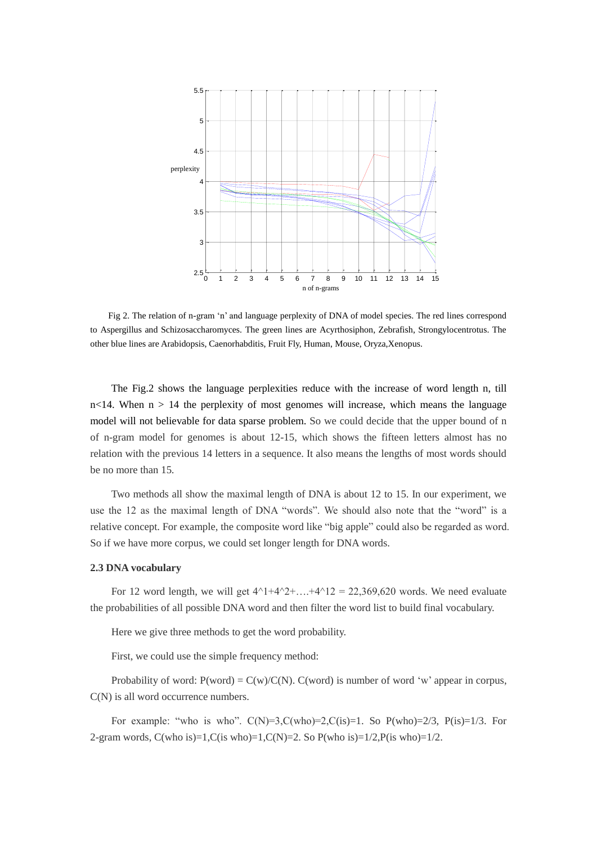

Fig 2. The relation of n-gram 'n' and language perplexity of DNA of model species. The red lines correspond to Aspergillus and Schizosaccharomyces. The green lines are Acyrthosiphon, Zebrafish, Strongylocentrotus. The other blue lines are Arabidopsis, Caenorhabditis, Fruit Fly, Human, Mouse, Oryza,Xenopus.

The Fig.2 shows the language perplexities reduce with the increase of word length n, till  $n$ <14. When  $n > 14$  the perplexity of most genomes will increase, which means the language model will not believable for data sparse problem. So we could decide that the upper bound of n of n-gram model for genomes is about 12-15, which shows the fifteen letters almost has no relation with the previous 14 letters in a sequence. It also means the lengths of most words should be no more than 15.

Two methods all show the maximal length of DNA is about 12 to 15. In our experiment, we use the 12 as the maximal length of DNA "words". We should also note that the "word" is a relative concept. For example, the composite word like "big apple" could also be regarded as word. So if we have more corpus, we could set longer length for DNA words.

#### **2.3 DNA vocabulary**

For 12 word length, we will get  $4^{1+4^{2}+...+4^{12}} = 22,369,620$  words. We need evaluate the probabilities of all possible DNA word and then filter the word list to build final vocabulary.

Here we give three methods to get the word probability.

First, we could use the simple frequency method:

Probability of word:  $P(word) = C(w)/C(N)$ .  $C(word)$  is number of word 'w' appear in corpus, C(N) is all word occurrence numbers.

For example: "who is who".  $C(N)=3$ , $C(who)=2$ , $C(is)=1$ . So  $P(who)=2/3$ ,  $P(is)=1/3$ . For 2-gram words,  $C(\text{who is})=1, C(\text{is who})=1, C(N)=2.$  So  $P(\text{who is})=1/2, P(\text{is who})=1/2.$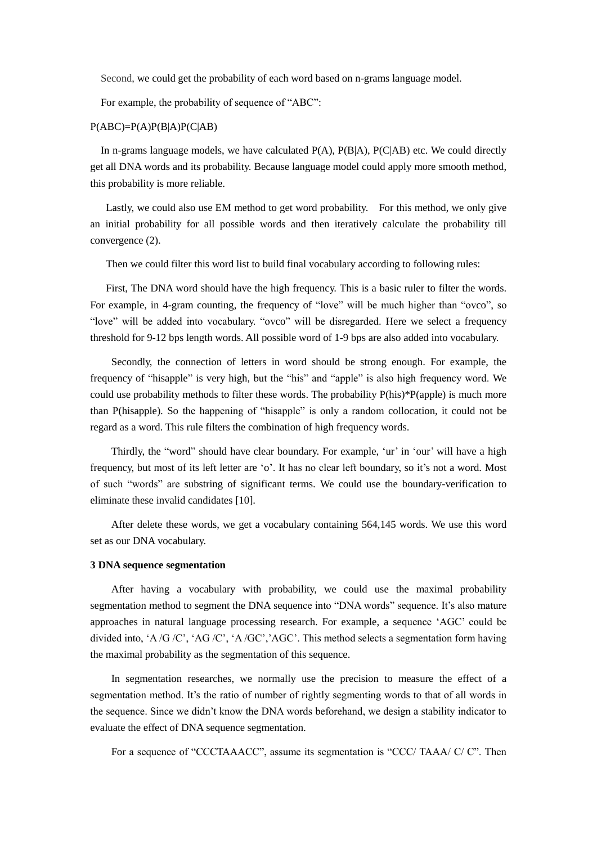Second, we could get the probability of each word based on n-grams language model.

For example, the probability of sequence of "ABC":

#### $P(ABC)=P(A)P(B|A)P(C|AB)$

In n-grams language models, we have calculated  $P(A)$ ,  $P(B|A)$ ,  $P(C|AB)$  etc. We could directly get all DNA words and its probability. Because language model could apply more smooth method, this probability is more reliable.

Lastly, we could also use EM method to get word probability. For this method, we only give an initial probability for all possible words and then iteratively calculate the probability till convergence [\(2\)](#page-10-0).

Then we could filter this word list to build final vocabulary according to following rules:

First, The DNA word should have the high frequency. This is a basic ruler to filter the words. For example, in 4-gram counting, the frequency of "love" will be much higher than "ovco", so "love" will be added into vocabulary. "ovco" will be disregarded. Here we select a frequency threshold for 9-12 bps length words. All possible word of 1-9 bps are also added into vocabulary.

Secondly, the connection of letters in word should be strong enough. For example, the frequency of "hisapple" is very high, but the "his" and "apple" is also high frequency word. We could use probability methods to filter these words. The probability P(his)\*P(apple) is much more than P(hisapple). So the happening of "hisapple" is only a random collocation, it could not be regard as a word. This rule filters the combination of high frequency words.

Thirdly, the "word" should have clear boundary. For example, 'ur' in 'our' will have a high frequency, but most of its left letter are 'o'. It has no clear left boundary, so it's not a word. Most of such "words" are substring of significant terms. We could use the boundary-verification to eliminate these invalid candidates [\[10\]](#page-11-3).

After delete these words, we get a vocabulary containing 564,145 words. We use this word set as our DNA vocabulary.

#### **3 DNA sequence segmentation**

After having a vocabulary with probability, we could use the maximal probability segmentation method to segment the DNA sequence into "DNA words" sequence. It's also mature approaches in natural language processing research. For example, a sequence 'AGC' could be divided into, 'A /G /C', 'AG /C', 'A /GC','AGC'. This method selects a segmentation form having the maximal probability as the segmentation of this sequence.

In segmentation researches, we normally use the precision to measure the effect of a segmentation method. It's the ratio of number of rightly segmenting words to that of all words in the sequence. Since we didn't know the DNA words beforehand, we design a stability indicator to evaluate the effect of DNA sequence segmentation.

For a sequence of "CCCTAAACC", assume its segmentation is "CCC/ TAAA/ C/ C". Then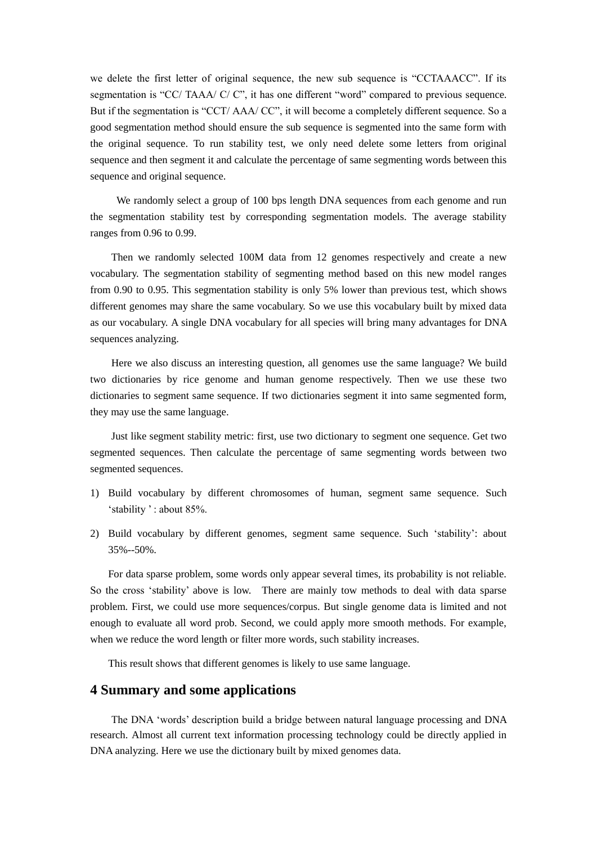we delete the first letter of original sequence, the new sub sequence is "CCTAAACC". If its segmentation is "CC/ TAAA/ C/ C", it has one different "word" compared to previous sequence. But if the segmentation is "CCT/ AAA/ CC", it will become a completely different sequence. So a good segmentation method should ensure the sub sequence is segmented into the same form with the original sequence. To run stability test, we only need delete some letters from original sequence and then segment it and calculate the percentage of same segmenting words between this sequence and original sequence.

We randomly select a group of 100 bps length DNA sequences from each genome and run the segmentation stability test by corresponding segmentation models. The average stability ranges from 0.96 to 0.99.

Then we randomly selected 100M data from 12 genomes respectively and create a new vocabulary. The segmentation stability of segmenting method based on this new model ranges from 0.90 to 0.95. This segmentation stability is only 5% lower than previous test, which shows different genomes may share the same vocabulary. So we use this vocabulary built by mixed data as our vocabulary. A single DNA vocabulary for all species will bring many advantages for DNA sequences analyzing.

Here we also discuss an interesting question, all genomes use the same language? We build two dictionaries by rice genome and human genome respectively. Then we use these two dictionaries to segment same sequence. If two dictionaries segment it into same segmented form, they may use the same language.

Just like segment stability metric: first, use two dictionary to segment one sequence. Get two segmented sequences. Then calculate the percentage of same segmenting words between two segmented sequences.

- 1) Build vocabulary by different chromosomes of human, segment same sequence. Such 'stability ' : about 85%.
- 2) Build vocabulary by different genomes, segment same sequence. Such 'stability': about 35%--50%.

For data sparse problem, some words only appear several times, its probability is not reliable. So the cross 'stability' above is low. There are mainly tow methods to deal with data sparse problem. First, we could use more sequences/corpus. But single genome data is limited and not enough to evaluate all word prob. Second, we could apply more smooth methods. For example, when we reduce the word length or filter more words, such stability increases.

This result shows that different genomes is likely to use same language.

## **4 Summary and some applications**

The DNA 'words' description build a bridge between natural language processing and DNA research. Almost all current text information processing technology could be directly applied in DNA analyzing. Here we use the dictionary built by mixed genomes data.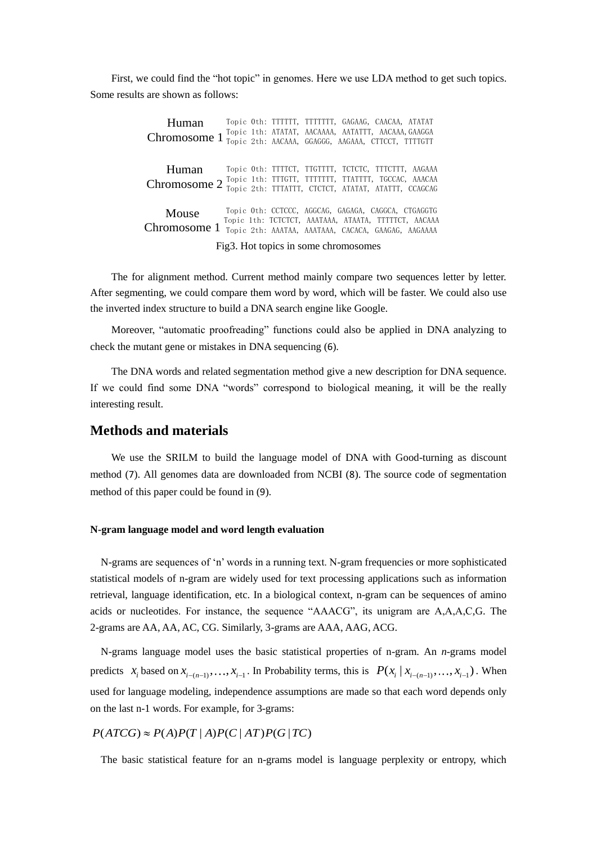First, we could find the "hot topic" in genomes. Here we use LDA method to get such topics. Some results are shown as follows:

> Topic 0th: TTTTTT, TTTTTTT, GAGAAG, CAACAA, ATATAT Topic 1th: ATATAT, AACAAAA, AATATTT, AACAAA,GAAGGA **Human** Topic 0th: TTTTT, TTTTTT, GAGAAG, CAACAA, ATATAT<br>Chromosome 1 Topic 1th: ATATAT, AACAAAA, AATATTT, AACAAA, GAAGGA<br>Chromosome 1 <sub>Topic 2th:</sub> AACAAA, GGAGGG, AAGAAA, CTTCCT, TTTGTT Topic 0th: TTTTCT, TTGTTTT, TCTCTC, TTTCTTT, AAGAAA Topic 1th: TTTGTT, TTTTTTT, TTATTTT, TGCCAC, AAACAA **Human** Topic 0th: TTTTCT, TTGTTTT, TCTCTC, TTTCTTT, AAGAAA<br>Chromosome 2 Topic 1th: TTTGTT, TTTTTTT, TTATTTT, TGCCAC, AAACAA Mouse Chromosome 1 Topic 2th: AAATAA, AAATAAA, CACACA, GAAGAG, AAGAAAA Topic 0th: CCTCCC, AGGCAG, GAGAGA, CAGGCA, CTGAGGTG Topic 1th: TCTCTCT, AAATAAA, ATAATA, TTTTTCT, AACAAA

Fig3. Hot topics in some chromosomes

The for alignment method. Current method mainly compare two sequences letter by letter. After segmenting, we could compare them word by word, which will be faster. We could also use the inverted index structure to build a DNA search engine like Google.

Moreover, "automatic proofreading" functions could also be applied in DNA analyzing to check the mutant gene or mistakes in DNA sequencing ([6](#page-11-4)).

The DNA words and related segmentation method give a new description for DNA sequence. If we could find some DNA "words" correspond to biological meaning, it will be the really interesting result.

### **Methods and materials**

We use the SRILM to build the language model of DNA with Good-turning as discount method ([7](#page-11-5)). All genomes data are downloaded from NCBI ([8](#page-11-6)). The source code of segmentation method of this paper could be found in ([9](#page-11-7)).

#### **N-gram language model and word length evaluation**

N-grams are sequences of 'n' words in a running text. N-gram frequencies or more sophisticated statistical models of n-gram are widely used for text processing applications such as information retrieval, language identification, etc. In a biological context, n-gram can be sequences of amino acids or nucleotides. For instance, the sequence "AAACG", its unigram are A,A,A,C,G. The 2-grams are AA, AA, AC, CG. Similarly, 3-grams are AAA, AAG, ACG.

N-grams language model uses the basic statistical properties of n-gram. An *n*-grams model predicts  $x_i$  based on  $x_{i-(n-1)},...,x_{i-1}$ . In Probability terms, this is  $P(x_i | x_{i-(n-1)},...,x_{i-1})$ . When used for language modeling, independence assumptions are made so that each word depends only on the last n-1 words. For example, for 3-grams:

 $P(ATCG) \approx P(A)P(T|A)P(C|AT)P(G|TC)$ 

The basic statistical feature for an n-grams model is language perplexity or entropy, which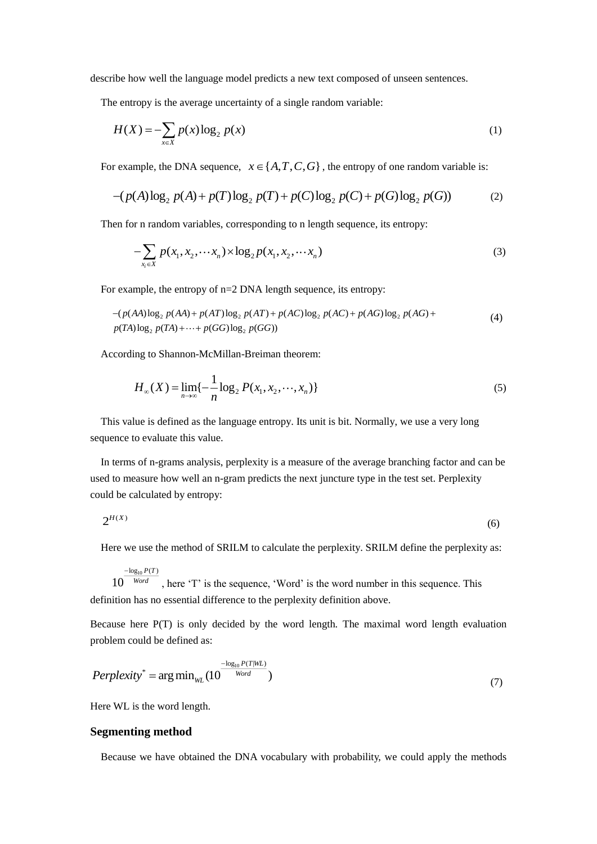describe how well the language model predicts a new text composed of unseen sentences.

The entropy is the average uncertainty of a single random variable:

$$
H(X) = -\sum_{x \in X} p(x) \log_2 p(x) \tag{1}
$$

For example, the DNA sequence,  $x \in \{A, T, C, G\}$ , the entropy of one random variable is:

$$
-(p(A)\log_2 p(A) + p(T)\log_2 p(T) + p(C)\log_2 p(C) + p(G)\log_2 p(G))
$$
 (2)

Then for n random variables, corresponding to n length sequence, its entropy:

$$
-\sum_{x_i \in X} p(x_1, x_2, \cdots x_n) \times \log_2 p(x_1, x_2, \cdots x_n)
$$
\n(3)

For example, the entropy of n=2 DNA length sequence, its entropy:

$$
-(p(AA)\log_2 p(AA) + p(AT)\log_2 p(AT) + p(AC)\log_2 p(AC) + p(AG)\log_2 p(AG) +
$$
  
 
$$
p(TA)\log_2 p(TA) + \cdots + p(GG)\log_2 p(GG))
$$
 (4)

According to Shannon-McMillan-Breiman theorem:

$$
H_{\infty}(X) = \lim_{n \to \infty} \{-\frac{1}{n} \log_2 P(x_1, x_2, \cdots, x_n)\}\tag{5}
$$

This value is defined as the language entropy. Its unit is bit. Normally, we use a very long sequence to evaluate this value.

In terms of n-grams analysis, perplexity is a measure of the average branching factor and can be used to measure how well an n-gram predicts the next juncture type in the test set. Perplexity could be calculated by entropy:

$$
2^{H(X)}\tag{6}
$$

Here we use the method of SRILM to calculate the perplexity. SRILM define the perplexity as:

$$
10^{\frac{-\log_{10} P(T)}{Word}}
$$
, here 'T' is the sequence, 'Word' is the word number in this sequence. This definition has no essential difference to the perpetity definition above.

Because here P(T) is only decided by the word length. The maximal word length evaluation problem could be defined as:

$$
Perplexity^* = \arg\min_{WL} (10^{\frac{-\log_{10} P(T|WL)}{Word}})
$$
\n(7)

Here WL is the word length.

### **Segmenting method**

Because we have obtained the DNA vocabulary with probability, we could apply the methods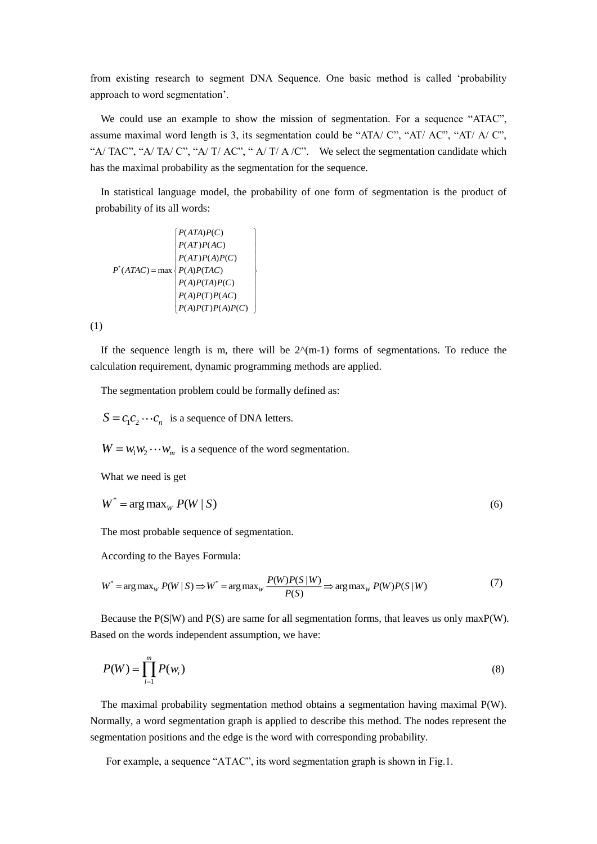from existing research to segment DNA Sequence. One basic method is called 'probability approach to word segmentation'.

We could use an example to show the mission of segmentation. For a sequence "ATAC", assume maximal word length is 3, its segmentation could be "ATA/ C", "AT/ AC", "AT/ A/ C", "A/ TAC", "A/ TA/ C", "A/ T/ AC", "A/ T/ A/ C". We select the segmentation candidate which has the maximal probability as the segmentation for the sequence.

In statistical language model, the probability of one form of segmentation is the product of probability of its all words:

$$
P^*(ATAC) = \max \left\{\begin{array}{l} P(ATA)P(C) \\ P(AT)P(AC) \\ P(AT)P(A)P(C) \\ P(AP)P(AC) \\ P(AP)P(AC) \\ P(AP)P(CP) \\ P(AP)P(CP) \\ P(AP)P(CP)P(CP) \end{array}\right\}
$$

(1)

If the sequence length is m, there will be  $2^{\lambda}(m-1)$  forms of segmentations. To reduce the calculation requirement, dynamic programming methods are applied.

The segmentation problem could be formally defined as:

 $S = c_1 c_2 \cdots c_n$  is a sequence of DNA letters.

 $W = w_1 w_2 \cdots w_m$  is a sequence of the word segmentation.

What we need is get

$$
W^* = \arg \max_W P(W \mid S) \tag{6}
$$

The most probable sequence of segmentation.

According to the Bayes Formula:

$$
W^* = \arg \max_{W} P(W \mid S) \Longrightarrow W^* = \arg \max_{W} \frac{P(W)P(S \mid W)}{P(S)} \Longrightarrow \arg \max_{W} P(W)P(S \mid W)
$$
(7)

Because the  $P(S|W)$  and  $P(S)$  are same for all segmentation forms, that leaves us only max $P(W)$ . Based on the words independent assumption, we have:

$$
P(W) = \prod_{i=1}^{m} P(w_i)
$$
\n<sup>(8)</sup>

The maximal probability segmentation method obtains a segmentation having maximal P(W). Normally, a word segmentation graph is applied to describe this method. The nodes represent the segmentation positions and the edge is the word with corresponding probability.

For example, a sequence "ATAC", its word segmentation graph is shown in Fig.1.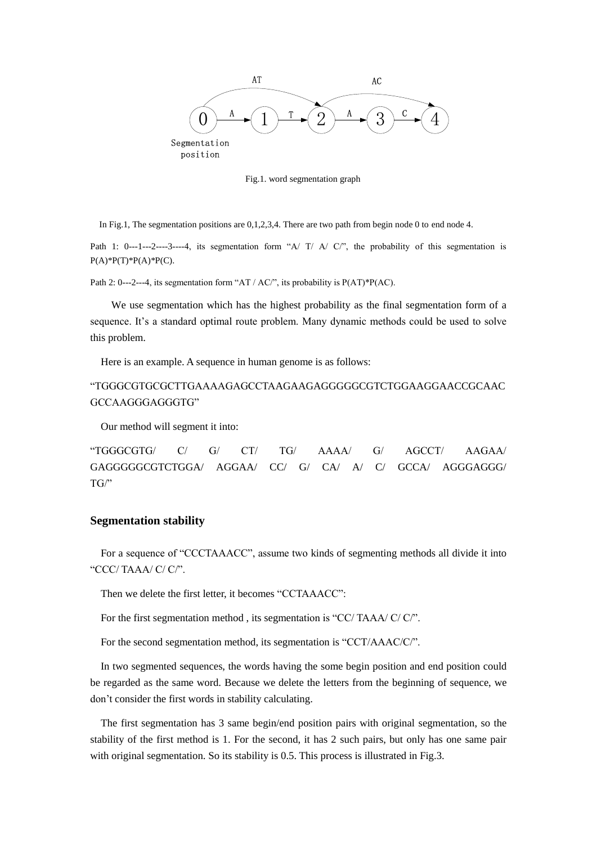

Fig.1. word segmentation graph

In Fig.1, The segmentation positions are 0,1,2,3,4. There are two path from begin node 0 to end node 4.

Path 1: 0---1---2----3----4, its segmentation form "A/ T/ A/ C/", the probability of this segmentation is  $P(A)*P(T)*P(A)*P(C)$ .

Path 2: 0---2---4, its segmentation form "AT / AC/", its probability is P(AT)\*P(AC).

We use segmentation which has the highest probability as the final segmentation form of a sequence. It's a standard optimal route problem. Many dynamic methods could be used to solve this problem.

Here is an example. A sequence in human genome is as follows:

# "TGGGCGTGCGCTTGAAAAGAGCCTAAGAAGAGGGGGCGTCTGGAAGGAACCGCAAC GCCAAGGGAGGGTG"

Our method will segment it into:

"TGGGCGTG/ C/ G/ CT/ TG/ AAAA/ G/ AGCCT/ AAGAA/ GAGGGGGCGTCTGGA/ AGGAA/ CC/ G/ CA/ A/ C/ GCCA/ AGGGAGGG/  $TG'$ 

### **Segmentation stability**

For a sequence of "CCCTAAACC", assume two kinds of segmenting methods all divide it into "CCC/ TAAA/ C/ C/".

Then we delete the first letter, it becomes "CCTAAACC":

For the first segmentation method , its segmentation is "CC/ TAAA/ C/ C/".

For the second segmentation method, its segmentation is "CCT/AAAC/C/".

In two segmented sequences, the words having the some begin position and end position could be regarded as the same word. Because we delete the letters from the beginning of sequence, we don't consider the first words in stability calculating.

The first segmentation has 3 same begin/end position pairs with original segmentation, so the stability of the first method is 1. For the second, it has 2 such pairs, but only has one same pair with original segmentation. So its stability is 0.5. This process is illustrated in Fig.3.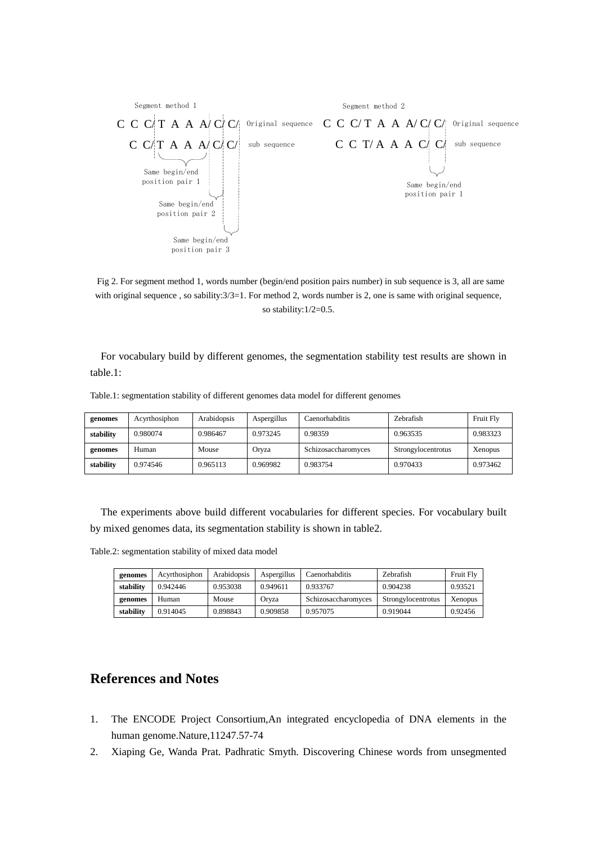

Fig 2. For segment method 1, words number (begin/end position pairs number) in sub sequence is 3, all are same with original sequence, so sability: $3/3=1$ . For method 2, words number is 2, one is same with original sequence, so stability:1/2=0.5.

For vocabulary build by different genomes, the segmentation stability test results are shown in table.1:

| genomes   | Acyrthosiphon | Arabidopsis | Aspergillus | Caenorhabditis      | <b>Zebrafish</b>   | Fruit Fly |
|-----------|---------------|-------------|-------------|---------------------|--------------------|-----------|
| stability | 0.980074      | 0.986467    | 0.973245    | 0.98359             | 0.963535           | 0.983323  |
| genomes   | Human         | Mouse       | Orvza       | Schizosaccharomyces | Strongylocentrotus | Xenopus   |
| stability | 0.974546      | 0.965113    | 0.969982    | 0.983754            | 0.970433           | 0.973462  |

Table.1: segmentation stability of different genomes data model for different genomes

The experiments above build different vocabularies for different species. For vocabulary built by mixed genomes data, its segmentation stability is shown in table2.

| genomes   | Acvrthosiphon | <b>Arabidopsis</b> | Aspergillus | Caenorhabditis      | <b>Zebrafish</b>   | Fruit Fly      |
|-----------|---------------|--------------------|-------------|---------------------|--------------------|----------------|
| stability | 0.942446      | 0.953038           | 0.949611    | 0.933767            | 0.904238           | 0.93521        |
| genomes   | Human         | Mouse              | Orvza       | Schizosaccharomyces | Strongylocentrotus | <b>Xenopus</b> |
| stability | 0.914045      | 0.898843           | 0.909858    | 0.957075            | 0.919044           | 0.92456        |

## **References and Notes**

- 1. The ENCODE Project Consortium,An integrated encyclopedia of DNA elements in the human genome.Nature,11247.57-74
- <span id="page-10-0"></span>2. Xiaping Ge, Wanda Prat. Padhratic Smyth. Discovering Chinese words from unsegmented